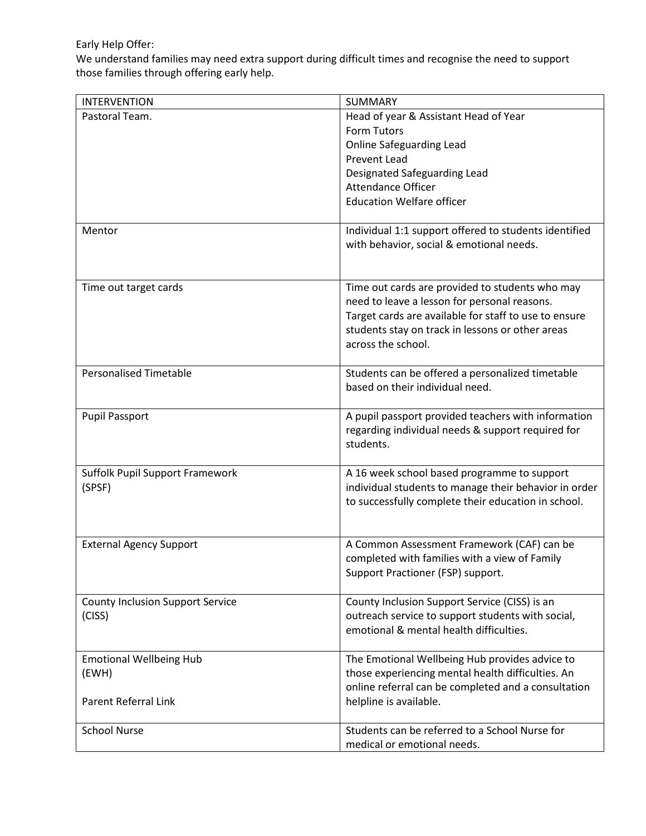## Early Help Offer:

We understand families may need extra support during difficult times and recognise the need to support those families through offering early help.

| <b>INTERVENTION</b>                     | SUMMARY                                               |
|-----------------------------------------|-------------------------------------------------------|
| Pastoral Team.                          | Head of year & Assistant Head of Year                 |
|                                         | Form Tutors                                           |
|                                         | <b>Online Safeguarding Lead</b>                       |
|                                         | <b>Prevent Lead</b>                                   |
|                                         | Designated Safeguarding Lead                          |
|                                         | <b>Attendance Officer</b>                             |
|                                         | <b>Education Welfare officer</b>                      |
|                                         |                                                       |
| Mentor                                  | Individual 1:1 support offered to students identified |
|                                         | with behavior, social & emotional needs.              |
|                                         |                                                       |
|                                         |                                                       |
| Time out target cards                   | Time out cards are provided to students who may       |
|                                         | need to leave a lesson for personal reasons.          |
|                                         | Target cards are available for staff to use to ensure |
|                                         | students stay on track in lessons or other areas      |
|                                         | across the school.                                    |
|                                         |                                                       |
| <b>Personalised Timetable</b>           | Students can be offered a personalized timetable      |
|                                         | based on their individual need.                       |
|                                         |                                                       |
| <b>Pupil Passport</b>                   | A pupil passport provided teachers with information   |
|                                         | regarding individual needs & support required for     |
|                                         | students.                                             |
|                                         |                                                       |
| Suffolk Pupil Support Framework         | A 16 week school based programme to support           |
| (SPSF)                                  | individual students to manage their behavior in order |
|                                         | to successfully complete their education in school.   |
|                                         |                                                       |
|                                         |                                                       |
| <b>External Agency Support</b>          | A Common Assessment Framework (CAF) can be            |
|                                         | completed with families with a view of Family         |
|                                         | Support Practioner (FSP) support.                     |
| <b>County Inclusion Support Service</b> | County Inclusion Support Service (CISS) is an         |
| (CISS)                                  | outreach service to support students with social,     |
|                                         | emotional & mental health difficulties.               |
|                                         |                                                       |
| <b>Emotional Wellbeing Hub</b>          | The Emotional Wellbeing Hub provides advice to        |
| (EWH)                                   | those experiencing mental health difficulties. An     |
|                                         | online referral can be completed and a consultation   |
| Parent Referral Link                    | helpline is available.                                |
|                                         |                                                       |
| <b>School Nurse</b>                     | Students can be referred to a School Nurse for        |
|                                         | medical or emotional needs.                           |
|                                         |                                                       |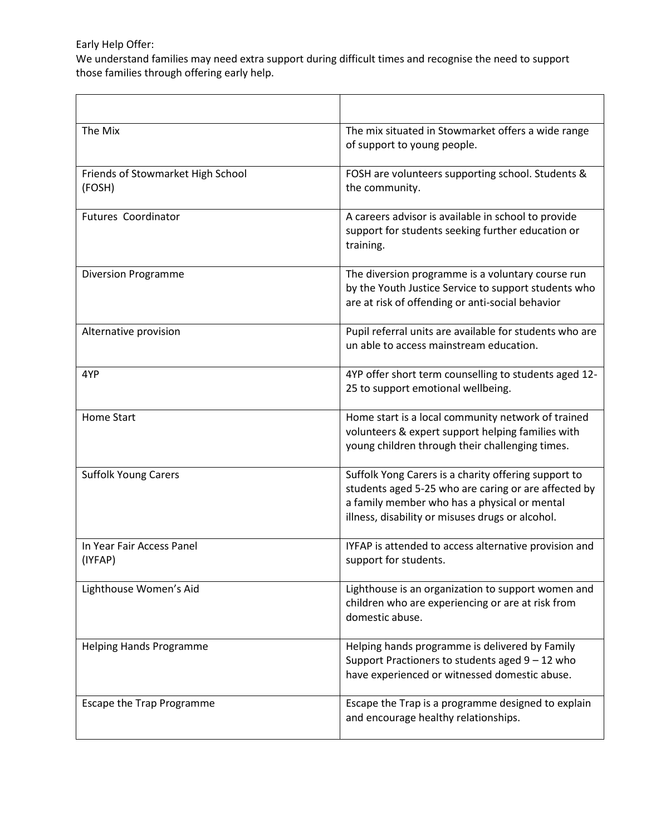Early Help Offer:

We understand families may need extra support during difficult times and recognise the need to support those families through offering early help.

| The Mix                                     | The mix situated in Stowmarket offers a wide range<br>of support to young people.                                                                                                                                |
|---------------------------------------------|------------------------------------------------------------------------------------------------------------------------------------------------------------------------------------------------------------------|
| Friends of Stowmarket High School<br>(FOSH) | FOSH are volunteers supporting school. Students &<br>the community.                                                                                                                                              |
| <b>Futures Coordinator</b>                  | A careers advisor is available in school to provide<br>support for students seeking further education or<br>training.                                                                                            |
| <b>Diversion Programme</b>                  | The diversion programme is a voluntary course run<br>by the Youth Justice Service to support students who<br>are at risk of offending or anti-social behavior                                                    |
| Alternative provision                       | Pupil referral units are available for students who are<br>un able to access mainstream education.                                                                                                               |
| 4YP                                         | 4YP offer short term counselling to students aged 12-<br>25 to support emotional wellbeing.                                                                                                                      |
| <b>Home Start</b>                           | Home start is a local community network of trained<br>volunteers & expert support helping families with<br>young children through their challenging times.                                                       |
| <b>Suffolk Young Carers</b>                 | Suffolk Yong Carers is a charity offering support to<br>students aged 5-25 who are caring or are affected by<br>a family member who has a physical or mental<br>illness, disability or misuses drugs or alcohol. |
| In Year Fair Access Panel<br>(IYFAP)        | IYFAP is attended to access alternative provision and<br>support for students.                                                                                                                                   |
| Lighthouse Women's Aid                      | Lighthouse is an organization to support women and<br>children who are experiencing or are at risk from<br>domestic abuse.                                                                                       |
| <b>Helping Hands Programme</b>              | Helping hands programme is delivered by Family<br>Support Practioners to students aged 9 - 12 who<br>have experienced or witnessed domestic abuse.                                                               |
| Escape the Trap Programme                   | Escape the Trap is a programme designed to explain<br>and encourage healthy relationships.                                                                                                                       |